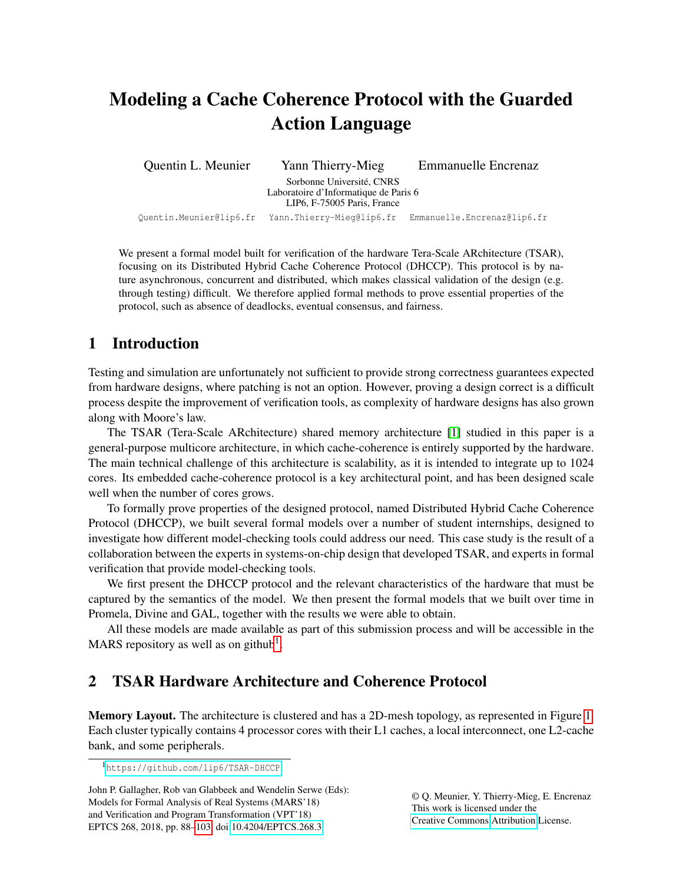# <span id="page-0-0"></span>Modeling a Cache Coherence Protocol with the Guarded Action Language

Quentin L. Meunier Yann Thierry-Mieg Emmanuelle Encrenaz Sorbonne Université, CNRS Laboratoire d'Informatique de Paris 6 LIP6, F-75005 Paris, France Quentin.Meunier@lip6.fr Yann.Thierry-Mieg@lip6.fr Emmanuelle.Encrenaz@lip6.fr

We present a formal model built for verification of the hardware Tera-Scale ARchitecture (TSAR), focusing on its Distributed Hybrid Cache Coherence Protocol (DHCCP). This protocol is by nature asynchronous, concurrent and distributed, which makes classical validation of the design (e.g. through testing) difficult. We therefore applied formal methods to prove essential properties of the protocol, such as absence of deadlocks, eventual consensus, and fairness.

## 1 Introduction

Testing and simulation are unfortunately not sufficient to provide strong correctness guarantees expected from hardware designs, where patching is not an option. However, proving a design correct is a difficult process despite the improvement of verification tools, as complexity of hardware designs has also grown along with Moore's law.

The TSAR (Tera-Scale ARchitecture) shared memory architecture [\[1\]](#page-11-0) studied in this paper is a general-purpose multicore architecture, in which cache-coherence is entirely supported by the hardware. The main technical challenge of this architecture is scalability, as it is intended to integrate up to 1024 cores. Its embedded cache-coherence protocol is a key architectural point, and has been designed scale well when the number of cores grows.

To formally prove properties of the designed protocol, named Distributed Hybrid Cache Coherence Protocol (DHCCP), we built several formal models over a number of student internships, designed to investigate how different model-checking tools could address our need. This case study is the result of a collaboration between the experts in systems-on-chip design that developed TSAR, and experts in formal verification that provide model-checking tools.

We first present the DHCCP protocol and the relevant characteristics of the hardware that must be captured by the semantics of the model. We then present the formal models that we built over time in Promela, Divine and GAL, together with the results we were able to obtain.

All these models are made available as part of this submission process and will be accessible in the MARS repository as well as on github<sup>1</sup>.

## 2 TSAR Hardware Architecture and Coherence Protocol

Memory Layout. The architecture is clustered and has a 2D-mesh topology, as represented in Figure [1.](#page-1-0) Each cluster typically contains 4 processor cores with their L1 caches, a local interconnect, one L2-cache bank, and some peripherals.

© Q. Meunier, Y. Thierry-Mieg, E. Encrenaz This work is licensed under the [Creative Commons](http://creativecommons.org) [Attribution](http://creativecommons.org/licenses/by/3.0/) License.

<sup>1</sup><https://github.com/lip6/TSAR-DHCCP>

John P. Gallagher, Rob van Glabbeek and Wendelin Serwe (Eds): Models for Formal Analysis of Real Systems (MARS'18) and Verification and Program Transformation (VPT'18) EPTCS 268, 2018, pp. 88[–103,](#page-15-0) doi[:10.4204/EPTCS.268.3](http://dx.doi.org/10.4204/EPTCS.268.3)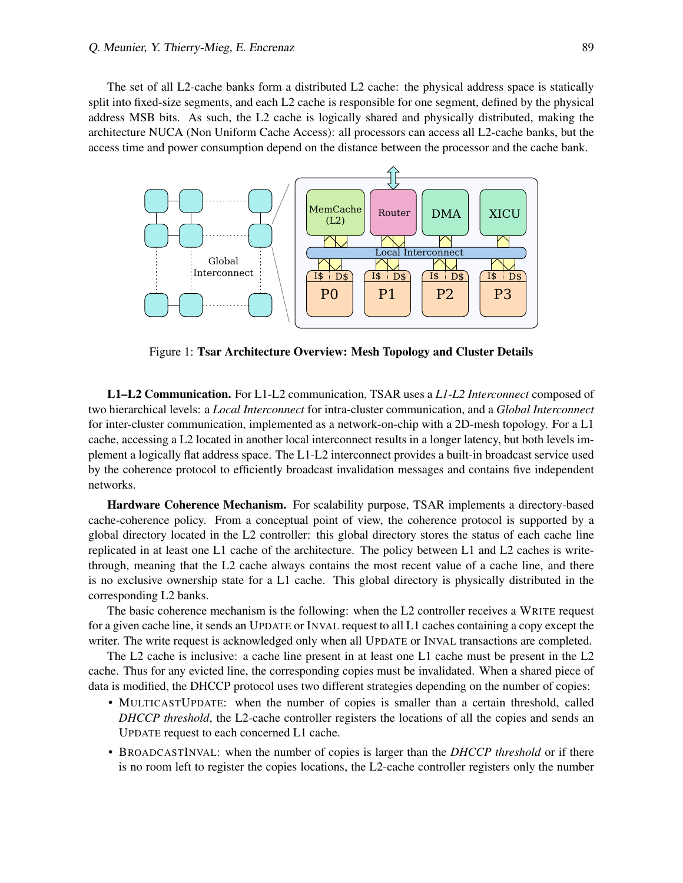The set of all L2-cache banks form a distributed L2 cache: the physical address space is statically split into fixed-size segments, and each L2 cache is responsible for one segment, defined by the physical address MSB bits. As such, the L2 cache is logically shared and physically distributed, making the architecture NUCA (Non Uniform Cache Access): all processors can access all L2-cache banks, but the access time and power consumption depend on the distance between the processor and the cache bank.

<span id="page-1-0"></span>

Figure 1: Tsar Architecture Overview: Mesh Topology and Cluster Details

L1–L2 Communication. For L1-L2 communication, TSAR uses a *L1-L2 Interconnect* composed of two hierarchical levels: a *Local Interconnect* for intra-cluster communication, and a *Global Interconnect* for inter-cluster communication, implemented as a network-on-chip with a 2D-mesh topology. For a L1 cache, accessing a L2 located in another local interconnect results in a longer latency, but both levels implement a logically flat address space. The L1-L2 interconnect provides a built-in broadcast service used by the coherence protocol to efficiently broadcast invalidation messages and contains five independent networks.

**Hardware Coherence Mechanism.** For scalability purpose, TSAR implements a directory-based cache-coherence policy. From a conceptual point of view, the coherence protocol is supported by a global directory located in the L2 controller: this global directory stores the status of each cache line replicated in at least one L1 cache of the architecture. The policy between L1 and L2 caches is writethrough, meaning that the L2 cache always contains the most recent value of a cache line, and there is no exclusive ownership state for a L1 cache. This global directory is physically distributed in the corresponding L2 banks.

The basic coherence mechanism is the following: when the L2 controller receives a WRITE request for a given cache line, it sends an UPDATE or INVAL request to all L1 caches containing a copy except the writer. The write request is acknowledged only when all UPDATE or INVAL transactions are completed.

The L2 cache is inclusive: a cache line present in at least one L1 cache must be present in the L2 cache. Thus for any evicted line, the corresponding copies must be invalidated. When a shared piece of data is modified, the DHCCP protocol uses two different strategies depending on the number of copies:

- MULTICASTUPDATE: when the number of copies is smaller than a certain threshold, called *DHCCP threshold*, the L2-cache controller registers the locations of all the copies and sends an UPDATE request to each concerned L1 cache.
- BROADCASTINVAL: when the number of copies is larger than the *DHCCP threshold* or if there is no room left to register the copies locations, the L2-cache controller registers only the number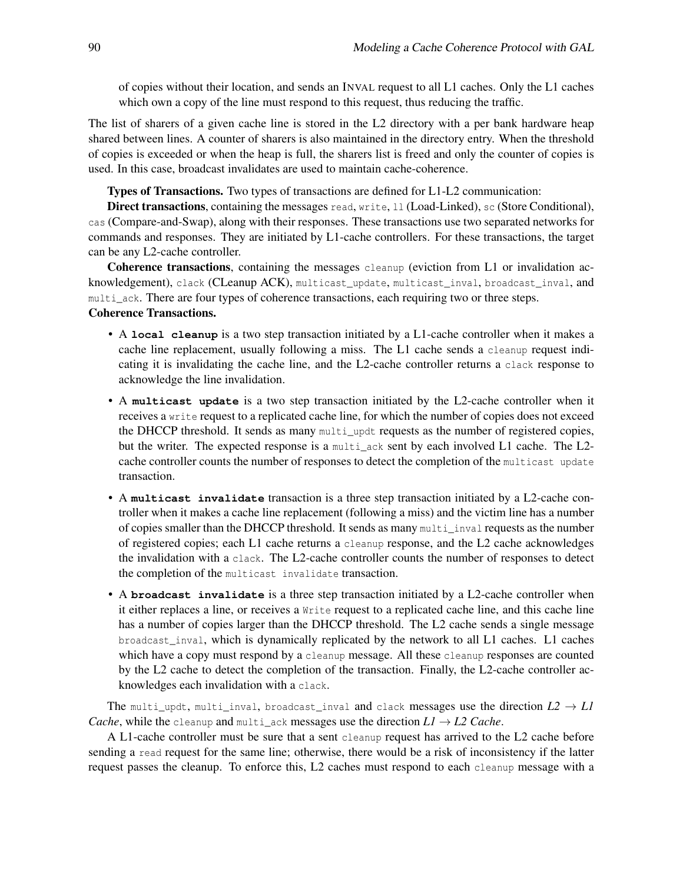of copies without their location, and sends an INVAL request to all L1 caches. Only the L1 caches which own a copy of the line must respond to this request, thus reducing the traffic.

The list of sharers of a given cache line is stored in the L2 directory with a per bank hardware heap shared between lines. A counter of sharers is also maintained in the directory entry. When the threshold of copies is exceeded or when the heap is full, the sharers list is freed and only the counter of copies is used. In this case, broadcast invalidates are used to maintain cache-coherence.

Types of Transactions. Two types of transactions are defined for L1-L2 communication:

Direct transactions, containing the messages read, write, 11 (Load-Linked), sc (Store Conditional), cas (Compare-and-Swap), along with their responses. These transactions use two separated networks for commands and responses. They are initiated by L1-cache controllers. For these transactions, the target can be any L2-cache controller.

Coherence transactions, containing the messages cleanup (eviction from L1 or invalidation acknowledgement), clack (CLeanup ACK), multicast\_update, multicast\_inval, broadcast\_inval, and multi\_ack. There are four types of coherence transactions, each requiring two or three steps. Coherence Transactions.

- A **local cleanup** is a two step transaction initiated by a L1-cache controller when it makes a cache line replacement, usually following a miss. The L1 cache sends a cleanup request indicating it is invalidating the cache line, and the L2-cache controller returns a clack response to acknowledge the line invalidation.
- A **multicast update** is a two step transaction initiated by the L2-cache controller when it receives a write request to a replicated cache line, for which the number of copies does not exceed the DHCCP threshold. It sends as many multi-updt requests as the number of registered copies, but the writer. The expected response is a multi\_ack sent by each involved L1 cache. The L2 cache controller counts the number of responses to detect the completion of the multicast update transaction.
- A **multicast invalidate** transaction is a three step transaction initiated by a L2-cache controller when it makes a cache line replacement (following a miss) and the victim line has a number of copies smaller than the DHCCP threshold. It sends as many multi\_inval requests as the number of registered copies; each L1 cache returns a cleanup response, and the L2 cache acknowledges the invalidation with a clack. The L2-cache controller counts the number of responses to detect the completion of the multicast invalidate transaction.
- A **broadcast** invalidate is a three step transaction initiated by a L2-cache controller when it either replaces a line, or receives a Write request to a replicated cache line, and this cache line has a number of copies larger than the DHCCP threshold. The L2 cache sends a single message broadcast\_inval, which is dynamically replicated by the network to all L1 caches. L1 caches which have a copy must respond by a cleanup message. All these cleanup responses are counted by the L2 cache to detect the completion of the transaction. Finally, the L2-cache controller acknowledges each invalidation with a clack.

The multi\_updt, multi\_inval, broadcast\_inval and clack messages use the direction  $L2 \rightarrow L1$ *Cache*, while the cleanup and multi\_ack messages use the direction  $LI \rightarrow L2$  Cache.

A L1-cache controller must be sure that a sent cleanup request has arrived to the L2 cache before sending a read request for the same line; otherwise, there would be a risk of inconsistency if the latter request passes the cleanup. To enforce this, L2 caches must respond to each cleanup message with a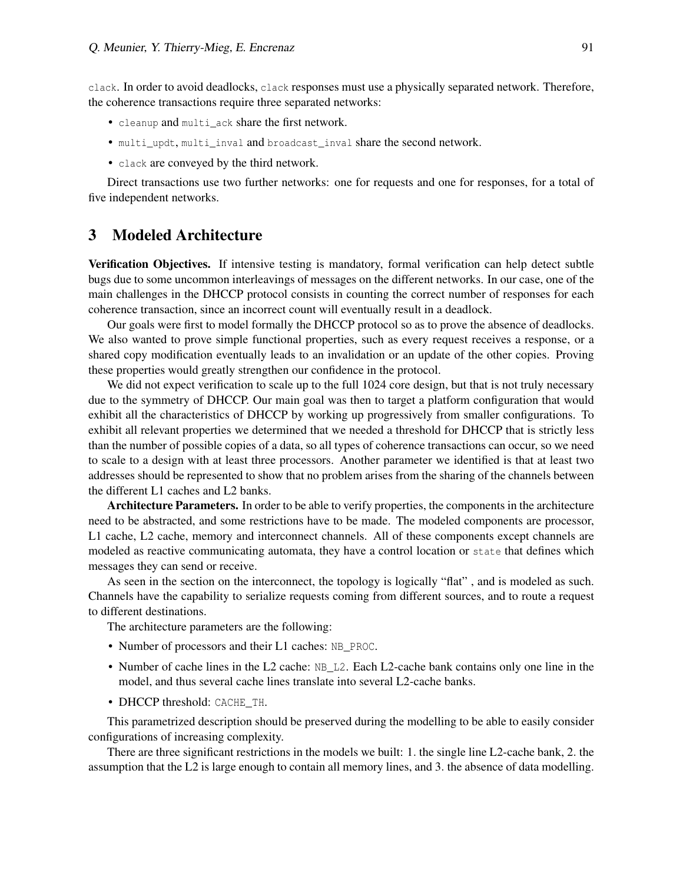clack. In order to avoid deadlocks, clack responses must use a physically separated network. Therefore, the coherence transactions require three separated networks:

- cleanup and multi\_ack share the first network.
- multi\_updt, multi\_inval and broadcast\_inval share the second network.
- clack are conveyed by the third network.

Direct transactions use two further networks: one for requests and one for responses, for a total of five independent networks.

#### 3 Modeled Architecture

Verification Objectives. If intensive testing is mandatory, formal verification can help detect subtle bugs due to some uncommon interleavings of messages on the different networks. In our case, one of the main challenges in the DHCCP protocol consists in counting the correct number of responses for each coherence transaction, since an incorrect count will eventually result in a deadlock.

Our goals were first to model formally the DHCCP protocol so as to prove the absence of deadlocks. We also wanted to prove simple functional properties, such as every request receives a response, or a shared copy modification eventually leads to an invalidation or an update of the other copies. Proving these properties would greatly strengthen our confidence in the protocol.

We did not expect verification to scale up to the full 1024 core design, but that is not truly necessary due to the symmetry of DHCCP. Our main goal was then to target a platform configuration that would exhibit all the characteristics of DHCCP by working up progressively from smaller configurations. To exhibit all relevant properties we determined that we needed a threshold for DHCCP that is strictly less than the number of possible copies of a data, so all types of coherence transactions can occur, so we need to scale to a design with at least three processors. Another parameter we identified is that at least two addresses should be represented to show that no problem arises from the sharing of the channels between the different L1 caches and L2 banks.

Architecture Parameters. In order to be able to verify properties, the components in the architecture need to be abstracted, and some restrictions have to be made. The modeled components are processor, L1 cache, L2 cache, memory and interconnect channels. All of these components except channels are modeled as reactive communicating automata, they have a control location or state that defines which messages they can send or receive.

As seen in the section on the interconnect, the topology is logically "flat" , and is modeled as such. Channels have the capability to serialize requests coming from different sources, and to route a request to different destinations.

The architecture parameters are the following:

- Number of processors and their L1 caches: NB\_PROC.
- Number of cache lines in the L2 cache:  $NB_1L2$ . Each L2-cache bank contains only one line in the model, and thus several cache lines translate into several L2-cache banks.
- DHCCP threshold: CACHE\_TH.

This parametrized description should be preserved during the modelling to be able to easily consider configurations of increasing complexity.

There are three significant restrictions in the models we built: 1. the single line L2-cache bank, 2. the assumption that the L2 is large enough to contain all memory lines, and 3. the absence of data modelling.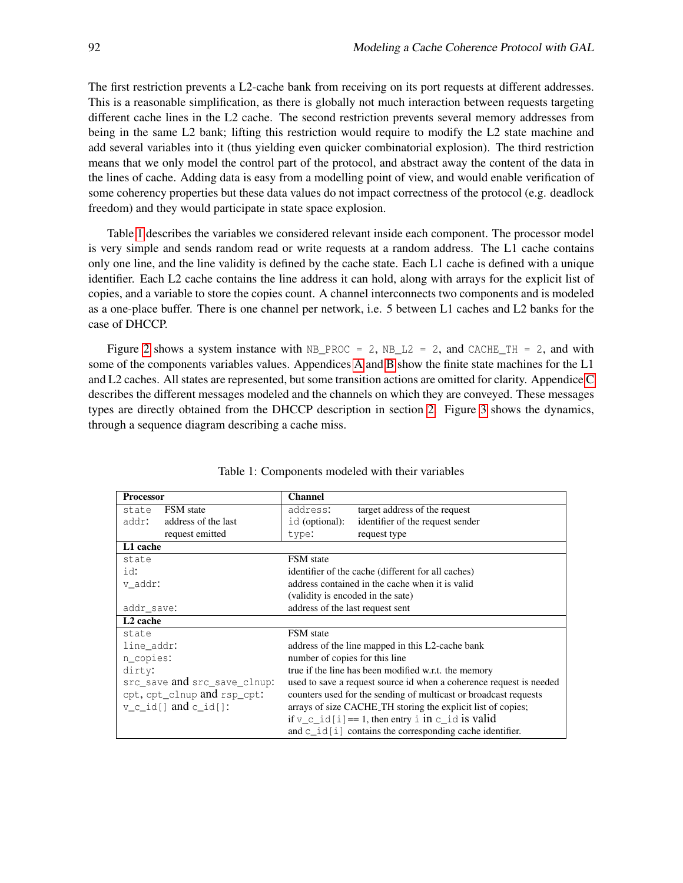The first restriction prevents a L2-cache bank from receiving on its port requests at different addresses. This is a reasonable simplification, as there is globally not much interaction between requests targeting different cache lines in the L2 cache. The second restriction prevents several memory addresses from being in the same L2 bank; lifting this restriction would require to modify the L2 state machine and add several variables into it (thus yielding even quicker combinatorial explosion). The third restriction means that we only model the control part of the protocol, and abstract away the content of the data in the lines of cache. Adding data is easy from a modelling point of view, and would enable verification of some coherency properties but these data values do not impact correctness of the protocol (e.g. deadlock freedom) and they would participate in state space explosion.

Table [1](#page-4-0) describes the variables we considered relevant inside each component. The processor model is very simple and sends random read or write requests at a random address. The L1 cache contains only one line, and the line validity is defined by the cache state. Each L1 cache is defined with a unique identifier. Each L2 cache contains the line address it can hold, along with arrays for the explicit list of copies, and a variable to store the copies count. A channel interconnects two components and is modeled as a one-place buffer. There is one channel per network, i.e. 5 between L1 caches and L2 banks for the case of DHCCP.

Figure [2](#page-5-0) shows a system instance with  $NB\_PROC = 2$ ,  $NB\_L2 = 2$ , and CACHE\_TH = 2, and with some of the components variables values. Appendices [A](#page-13-0) and [B](#page-14-0) show the finite state machines for the L1 and L2 caches. All states are represented, but some transition actions are omitted for clarity. Appendice [C](#page-15-1) describes the different messages modeled and the channels on which they are conveyed. These messages types are directly obtained from the DHCCP description in section [2.](#page-1-0) Figure [3](#page-5-1) shows the dynamics, through a sequence diagram describing a cache miss.

<span id="page-4-0"></span>

| <b>Processor</b>             |                     | <b>Channel</b>                                                      |                                                    |  |  |  |
|------------------------------|---------------------|---------------------------------------------------------------------|----------------------------------------------------|--|--|--|
|                              |                     |                                                                     |                                                    |  |  |  |
| state                        | <b>FSM</b> state    | address:                                                            | target address of the request                      |  |  |  |
| addr:                        | address of the last | id (optional):                                                      | identifier of the request sender                   |  |  |  |
|                              | request emitted     | type:                                                               | request type                                       |  |  |  |
| L1 cache                     |                     |                                                                     |                                                    |  |  |  |
| state                        |                     | <b>FSM</b> state                                                    |                                                    |  |  |  |
| id:                          |                     |                                                                     | identifier of the cache (different for all caches) |  |  |  |
| v addr:                      |                     | address contained in the cache when it is valid                     |                                                    |  |  |  |
|                              |                     | (validity is encoded in the sate)                                   |                                                    |  |  |  |
| addr save:                   |                     | address of the last request sent                                    |                                                    |  |  |  |
| L <sub>2</sub> cache         |                     |                                                                     |                                                    |  |  |  |
| state                        |                     | <b>FSM</b> state                                                    |                                                    |  |  |  |
| line addr:                   |                     | address of the line mapped in this L2-cache bank                    |                                                    |  |  |  |
| n copies:                    |                     | number of copies for this line                                      |                                                    |  |  |  |
| dirty:                       |                     | true if the line has been modified w.r.t. the memory                |                                                    |  |  |  |
| src_save and src_save_clnup: |                     | used to save a request source id when a coherence request is needed |                                                    |  |  |  |
| cpt, cpt_clnup and rsp_cpt:  |                     | counters used for the sending of multicast or broadcast requests    |                                                    |  |  |  |
| $v_c_id[]$ and $c_id[]$ :    |                     | arrays of size CACHE_TH storing the explicit list of copies;        |                                                    |  |  |  |
|                              |                     | if $v_c_id[i] == 1$ , then entry i in c_id is valid                 |                                                    |  |  |  |
|                              |                     | and $c$ id $[i]$ contains the corresponding cache identifier.       |                                                    |  |  |  |

Table 1: Components modeled with their variables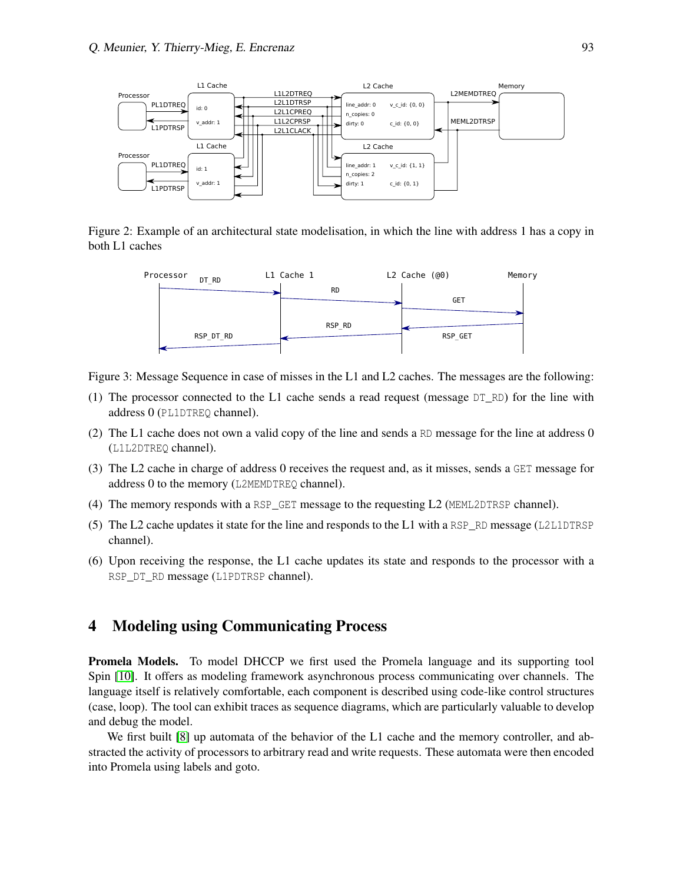<span id="page-5-0"></span>

Figure 2: Example of an architectural state modelisation, in which the line with address 1 has a copy in both L1 caches



Figure 3: Message Sequence in case of misses in the L1 and L2 caches. The messages are the following:

- (1) The processor connected to the L1 cache sends a read request (message  $DT\_RD$ ) for the line with address 0 (PL1DTREQ channel).
- (2) The L1 cache does not own a valid copy of the line and sends a RD message for the line at address 0 (L1L2DTREQ channel).
- (3) The L2 cache in charge of address 0 receives the request and, as it misses, sends a GET message for address 0 to the memory (L2MEMDTREQ channel).
- (4) The memory responds with a RSP\_GET message to the requesting L2 (MEML2DTRSP channel).
- (5) The L2 cache updates it state for the line and responds to the L1 with a RSP\_RD message (L2L1DTRSP channel).
- <span id="page-5-1"></span>(6) Upon receiving the response, the L1 cache updates its state and responds to the processor with a RSP\_DT\_RD message (L1PDTRSP channel).

#### 4 Modeling using Communicating Process

Promela Models. To model DHCCP we first used the Promela language and its supporting tool Spin [\[10\]](#page-12-0). It offers as modeling framework asynchronous process communicating over channels. The language itself is relatively comfortable, each component is described using code-like control structures (case, loop). The tool can exhibit traces as sequence diagrams, which are particularly valuable to develop and debug the model.

We first built [\[8\]](#page-12-1) up automata of the behavior of the L1 cache and the memory controller, and abstracted the activity of processors to arbitrary read and write requests. These automata were then encoded into Promela using labels and goto.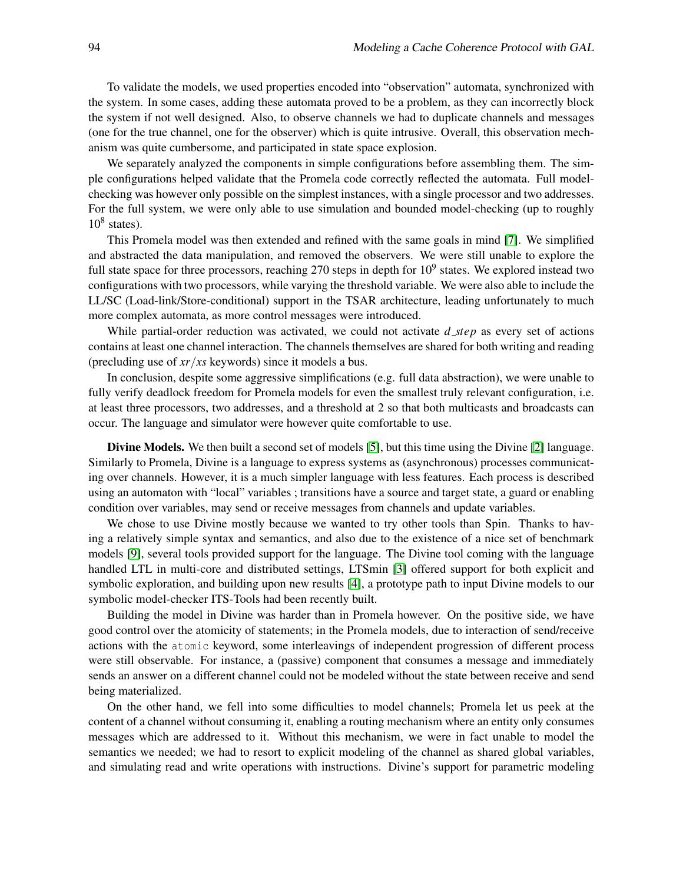To validate the models, we used properties encoded into "observation" automata, synchronized with the system. In some cases, adding these automata proved to be a problem, as they can incorrectly block the system if not well designed. Also, to observe channels we had to duplicate channels and messages (one for the true channel, one for the observer) which is quite intrusive. Overall, this observation mechanism was quite cumbersome, and participated in state space explosion.

We separately analyzed the components in simple configurations before assembling them. The simple configurations helped validate that the Promela code correctly reflected the automata. Full modelchecking was however only possible on the simplest instances, with a single processor and two addresses. For the full system, we were only able to use simulation and bounded model-checking (up to roughly  $10^8$  states).

This Promela model was then extended and refined with the same goals in mind [\[7\]](#page-12-2). We simplified and abstracted the data manipulation, and removed the observers. We were still unable to explore the full state space for three processors, reaching 270 steps in depth for  $10^9$  states. We explored instead two configurations with two processors, while varying the threshold variable. We were also able to include the LL/SC (Load-link/Store-conditional) support in the TSAR architecture, leading unfortunately to much more complex automata, as more control messages were introduced.

While partial-order reduction was activated, we could not activate *d step* as every set of actions contains at least one channel interaction. The channels themselves are shared for both writing and reading (precluding use of *xr*/*xs* keywords) since it models a bus.

In conclusion, despite some aggressive simplifications (e.g. full data abstraction), we were unable to fully verify deadlock freedom for Promela models for even the smallest truly relevant configuration, i.e. at least three processors, two addresses, and a threshold at 2 so that both multicasts and broadcasts can occur. The language and simulator were however quite comfortable to use.

Divine Models. We then built a second set of models [\[5\]](#page-12-3), but this time using the Divine [\[2\]](#page-11-1) language. Similarly to Promela, Divine is a language to express systems as (asynchronous) processes communicating over channels. However, it is a much simpler language with less features. Each process is described using an automaton with "local" variables ; transitions have a source and target state, a guard or enabling condition over variables, may send or receive messages from channels and update variables.

We chose to use Divine mostly because we wanted to try other tools than Spin. Thanks to having a relatively simple syntax and semantics, and also due to the existence of a nice set of benchmark models [\[9\]](#page-12-4), several tools provided support for the language. The Divine tool coming with the language handled LTL in multi-core and distributed settings, LTSmin [\[3\]](#page-12-5) offered support for both explicit and symbolic exploration, and building upon new results [\[4\]](#page-12-6), a prototype path to input Divine models to our symbolic model-checker ITS-Tools had been recently built.

Building the model in Divine was harder than in Promela however. On the positive side, we have good control over the atomicity of statements; in the Promela models, due to interaction of send/receive actions with the atomic keyword, some interleavings of independent progression of different process were still observable. For instance, a (passive) component that consumes a message and immediately sends an answer on a different channel could not be modeled without the state between receive and send being materialized.

On the other hand, we fell into some difficulties to model channels; Promela let us peek at the content of a channel without consuming it, enabling a routing mechanism where an entity only consumes messages which are addressed to it. Without this mechanism, we were in fact unable to model the semantics we needed; we had to resort to explicit modeling of the channel as shared global variables, and simulating read and write operations with instructions. Divine's support for parametric modeling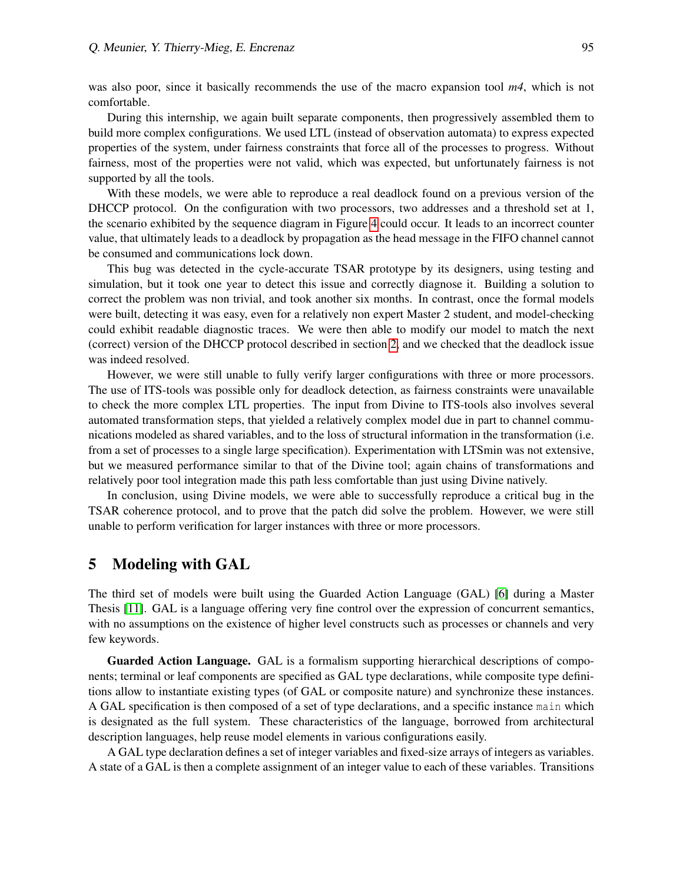was also poor, since it basically recommends the use of the macro expansion tool *m4*, which is not comfortable.

During this internship, we again built separate components, then progressively assembled them to build more complex configurations. We used LTL (instead of observation automata) to express expected properties of the system, under fairness constraints that force all of the processes to progress. Without fairness, most of the properties were not valid, which was expected, but unfortunately fairness is not supported by all the tools.

With these models, we were able to reproduce a real deadlock found on a previous version of the DHCCP protocol. On the configuration with two processors, two addresses and a threshold set at 1, the scenario exhibited by the sequence diagram in Figure [4](#page-8-0) could occur. It leads to an incorrect counter value, that ultimately leads to a deadlock by propagation as the head message in the FIFO channel cannot be consumed and communications lock down.

This bug was detected in the cycle-accurate TSAR prototype by its designers, using testing and simulation, but it took one year to detect this issue and correctly diagnose it. Building a solution to correct the problem was non trivial, and took another six months. In contrast, once the formal models were built, detecting it was easy, even for a relatively non expert Master 2 student, and model-checking could exhibit readable diagnostic traces. We were then able to modify our model to match the next (correct) version of the DHCCP protocol described in section [2,](#page-1-0) and we checked that the deadlock issue was indeed resolved.

However, we were still unable to fully verify larger configurations with three or more processors. The use of ITS-tools was possible only for deadlock detection, as fairness constraints were unavailable to check the more complex LTL properties. The input from Divine to ITS-tools also involves several automated transformation steps, that yielded a relatively complex model due in part to channel communications modeled as shared variables, and to the loss of structural information in the transformation (i.e. from a set of processes to a single large specification). Experimentation with LTSmin was not extensive, but we measured performance similar to that of the Divine tool; again chains of transformations and relatively poor tool integration made this path less comfortable than just using Divine natively.

In conclusion, using Divine models, we were able to successfully reproduce a critical bug in the TSAR coherence protocol, and to prove that the patch did solve the problem. However, we were still unable to perform verification for larger instances with three or more processors.

#### 5 Modeling with GAL

The third set of models were built using the Guarded Action Language (GAL) [\[6\]](#page-12-7) during a Master Thesis [\[11\]](#page-12-8). GAL is a language offering very fine control over the expression of concurrent semantics, with no assumptions on the existence of higher level constructs such as processes or channels and very few keywords.

Guarded Action Language. GAL is a formalism supporting hierarchical descriptions of components; terminal or leaf components are specified as GAL type declarations, while composite type definitions allow to instantiate existing types (of GAL or composite nature) and synchronize these instances. A GAL specification is then composed of a set of type declarations, and a specific instance main which is designated as the full system. These characteristics of the language, borrowed from architectural description languages, help reuse model elements in various configurations easily.

A GAL type declaration defines a set of integer variables and fixed-size arrays of integers as variables. A state of a GAL is then a complete assignment of an integer value to each of these variables. Transitions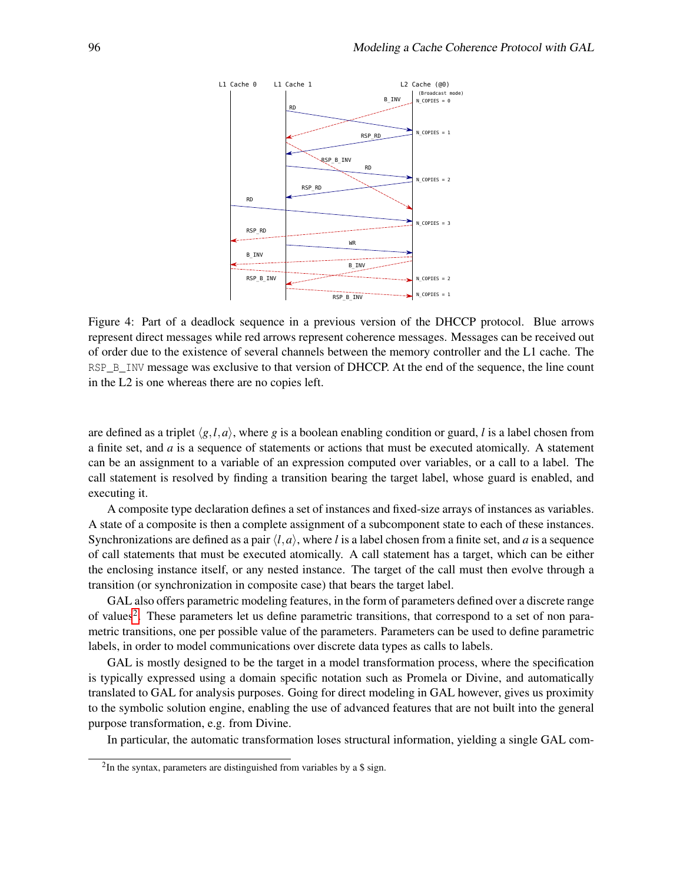<span id="page-8-0"></span>

Figure 4: Part of a deadlock sequence in a previous version of the DHCCP protocol. Blue arrows represent direct messages while red arrows represent coherence messages. Messages can be received out of order due to the existence of several channels between the memory controller and the L1 cache. The RSP\_B\_INV message was exclusive to that version of DHCCP. At the end of the sequence, the line count in the L2 is one whereas there are no copies left.

are defined as a triplet  $\langle g, l, a \rangle$ , where g is a boolean enabling condition or guard, *l* is a label chosen from a finite set, and *a* is a sequence of statements or actions that must be executed atomically. A statement can be an assignment to a variable of an expression computed over variables, or a call to a label. The call statement is resolved by finding a transition bearing the target label, whose guard is enabled, and executing it.

A composite type declaration defines a set of instances and fixed-size arrays of instances as variables. A state of a composite is then a complete assignment of a subcomponent state to each of these instances. Synchronizations are defined as a pair  $\langle l, a \rangle$ , where *l* is a label chosen from a finite set, and *a* is a sequence of call statements that must be executed atomically. A call statement has a target, which can be either the enclosing instance itself, or any nested instance. The target of the call must then evolve through a transition (or synchronization in composite case) that bears the target label.

GAL also offers parametric modeling features, in the form of parameters defined over a discrete range of values<sup>[2](#page-0-0)</sup>. These parameters let us define parametric transitions, that correspond to a set of non parametric transitions, one per possible value of the parameters. Parameters can be used to define parametric labels, in order to model communications over discrete data types as calls to labels.

GAL is mostly designed to be the target in a model transformation process, where the specification is typically expressed using a domain specific notation such as Promela or Divine, and automatically translated to GAL for analysis purposes. Going for direct modeling in GAL however, gives us proximity to the symbolic solution engine, enabling the use of advanced features that are not built into the general purpose transformation, e.g. from Divine.

In particular, the automatic transformation loses structural information, yielding a single GAL com-

 $2$ In the syntax, parameters are distinguished from variables by a \$ sign.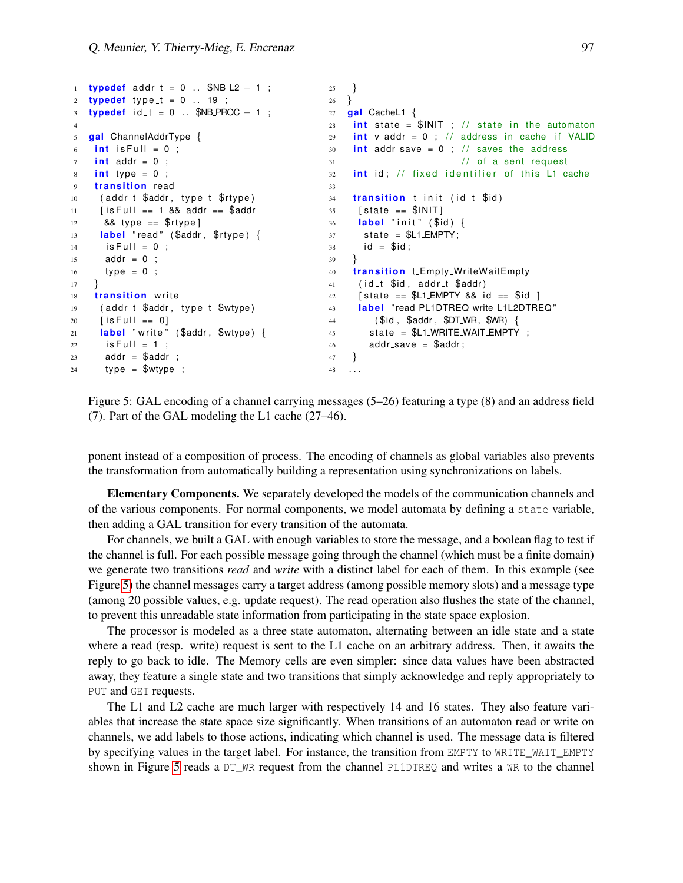```
1 typedef addr<sub>-t</sub> = 0 .. $NB<sub>-</sub>L2 - 1 ;
2 typedef type_t = 0 \ldots 19 ;
3 typedef id_t = 0 . . $NB_PROC − 1 ;
4
5 gal ChannelAddrType {
6 int is Full = 0 ;
7 int addr = 0 ;
8 int type = 0 ;
9 transition read
10 (addr_t $addr, type_t $rtype)
11 [ is Full == 1 && addr == $addr
12 && type == $rtype]
13 label "read" ($addr, $rtype) {
14 is Full = 0;
15 addr = 0 ;
16 type = 0 ;
17 }
18 transition write
19 (addr_t $addr, type_t $wtype)
20 [is Full == 0]
21 label "write" ($addr, $wtype) {
22 is Full = 1;
23 addr = $addr ;
24 type = $wtype;
                                          25 }
                                             26 }
                                          27 gal CacheL1 {
                                            28 int state = $INT; // state in the automaton
                                            29 int v addr = 0 ; // address in cache if VALID
                                            30 int addr_save = 0; // saves the address
                                            31 // of a sent request
                                            32 int id; // fixed identifier of this L1 cache
                                             33
                                            34 t r a n si ti o n t i n i t ( i d t $id )
                                                  [state == $INIT]36 label "init" ($id) {
                                             37 state = SL1 EMPTY;
                                             38 id = $id;
                                              39 }
                                              40 transition t_Empty_WriteWaitEmpty
                                             41 (id_t $id, addr_t $addr)
                                            42 \int \text{state} = \frac{1}{2} \cdot \text{EMPTY} && id == \oint \text{id}43 l ab el " read PL1DTREQ write L1L2DTREQ "
                                            44 ( $id , $addr , $DT WR, $WR) {
                                            45 state = L1_WRITE_WAIT_EMPTY;
                                            46 addr_save = $addr;
                                            47 }
                                             48 . . .
```
Figure 5: GAL encoding of a channel carrying messages (5–26) featuring a type (8) and an address field (7). Part of the GAL modeling the L1 cache (27–46).

ponent instead of a composition of process. The encoding of channels as global variables also prevents the transformation from automatically building a representation using synchronizations on labels.

Elementary Components. We separately developed the models of the communication channels and of the various components. For normal components, we model automata by defining a state variable, then adding a GAL transition for every transition of the automata.

For channels, we built a GAL with enough variables to store the message, and a boolean flag to test if the channel is full. For each possible message going through the channel (which must be a finite domain) we generate two transitions *read* and *write* with a distinct label for each of them. In this example (see Figure [5\)](#page-9-0) the channel messages carry a target address (among possible memory slots) and a message type (among 20 possible values, e.g. update request). The read operation also flushes the state of the channel, to prevent this unreadable state information from participating in the state space explosion.

The processor is modeled as a three state automaton, alternating between an idle state and a state where a read (resp. write) request is sent to the L1 cache on an arbitrary address. Then, it awaits the reply to go back to idle. The Memory cells are even simpler: since data values have been abstracted away, they feature a single state and two transitions that simply acknowledge and reply appropriately to PUT and GET requests.

The L1 and L2 cache are much larger with respectively 14 and 16 states. They also feature variables that increase the state space size significantly. When transitions of an automaton read or write on channels, we add labels to those actions, indicating which channel is used. The message data is filtered by specifying values in the target label. For instance, the transition from EMPTY to WRITE\_WAIT\_EMPTY shown in Figure [5](#page-9-0) reads a DT\_WR request from the channel PL1DTREQ and writes a WR to the channel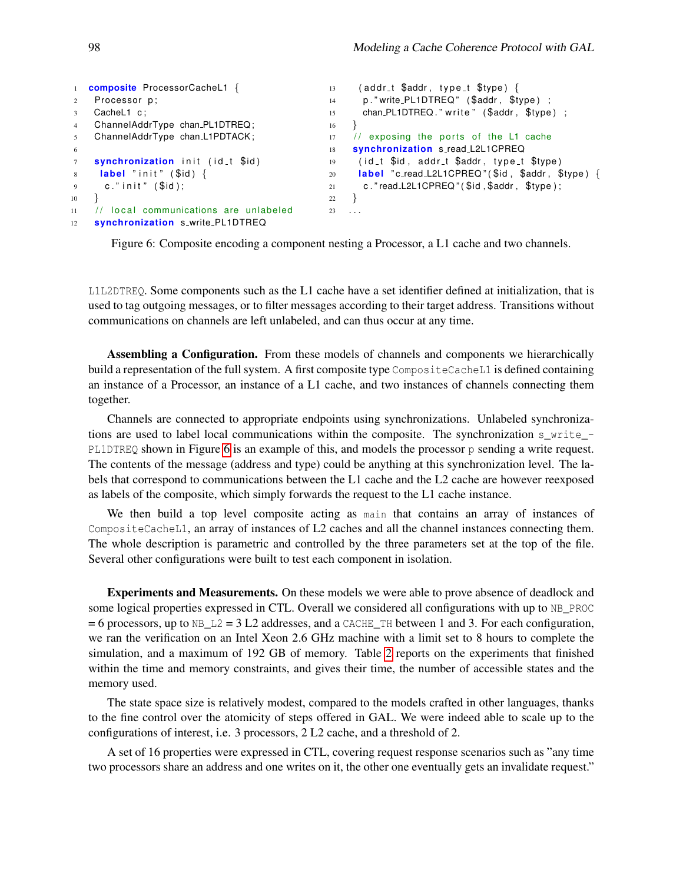```
1 composite ProcessorCacheL1 {
2 Processor p;
3 CacheL1 c:
4 ChannelAddrType chan PL1DTREQ ;
5 ChannelAddrType chan L1PDTACK ;
6
7 synchronization init (id<sub>-1</sub> $id)
8 label "init" ($id) {
9 c." in it " $id );
10 }
11 // local communications are unlabeled
12 synchronization s_write_PL1DTREQ
                                              13 (addr_t $addr, type_t $type) {
                                              14 p." write_PL1DTREQ" ($addr, $type);
                                              15 chan_PL1DTREQ." write" ($addr, $type) ;
                                              16 }
                                              17 // exposing the ports of the L1 cache
                                              18 synchronization s_read_L2L1CPREQ
                                              19 (id t $id, addr-t $addr, type t $type)
                                              20 label "c_read_L2L1CPREQ" ($id, $addr, $type) {
                                              21 c." read L2L1CPREQ" ($id, $addr, $type);
                                               22 }
                                              23 . . .
```
Figure 6: Composite encoding a component nesting a Processor, a L1 cache and two channels.

L1L2DTREQ. Some components such as the L1 cache have a set identifier defined at initialization, that is used to tag outgoing messages, or to filter messages according to their target address. Transitions without communications on channels are left unlabeled, and can thus occur at any time.

Assembling a Configuration. From these models of channels and components we hierarchically build a representation of the full system. A first composite type CompositeCacheL1 is defined containing an instance of a Processor, an instance of a L1 cache, and two instances of channels connecting them together.

Channels are connected to appropriate endpoints using synchronizations. Unlabeled synchronizations are used to label local communications within the composite. The synchronization s\_write\_- PL1DTREQ shown in Figure [6](#page-10-0) is an example of this, and models the processor p sending a write request. The contents of the message (address and type) could be anything at this synchronization level. The labels that correspond to communications between the L1 cache and the L2 cache are however reexposed as labels of the composite, which simply forwards the request to the L1 cache instance.

We then build a top level composite acting as main that contains an array of instances of CompositeCacheL1, an array of instances of L2 caches and all the channel instances connecting them. The whole description is parametric and controlled by the three parameters set at the top of the file. Several other configurations were built to test each component in isolation.

Experiments and Measurements. On these models we were able to prove absence of deadlock and some logical properties expressed in CTL. Overall we considered all configurations with up to NB\_PROC  $= 6$  processors, up to NB\_L2 = 3 L2 addresses, and a CACHE\_TH between 1 and 3. For each configuration, we ran the verification on an Intel Xeon 2.6 GHz machine with a limit set to 8 hours to complete the simulation, and a maximum of 192 GB of memory. Table [2](#page-11-2) reports on the experiments that finished within the time and memory constraints, and gives their time, the number of accessible states and the memory used.

The state space size is relatively modest, compared to the models crafted in other languages, thanks to the fine control over the atomicity of steps offered in GAL. We were indeed able to scale up to the configurations of interest, i.e. 3 processors, 2 L2 cache, and a threshold of 2.

A set of 16 properties were expressed in CTL, covering request response scenarios such as "any time two processors share an address and one writes on it, the other one eventually gets an invalidate request."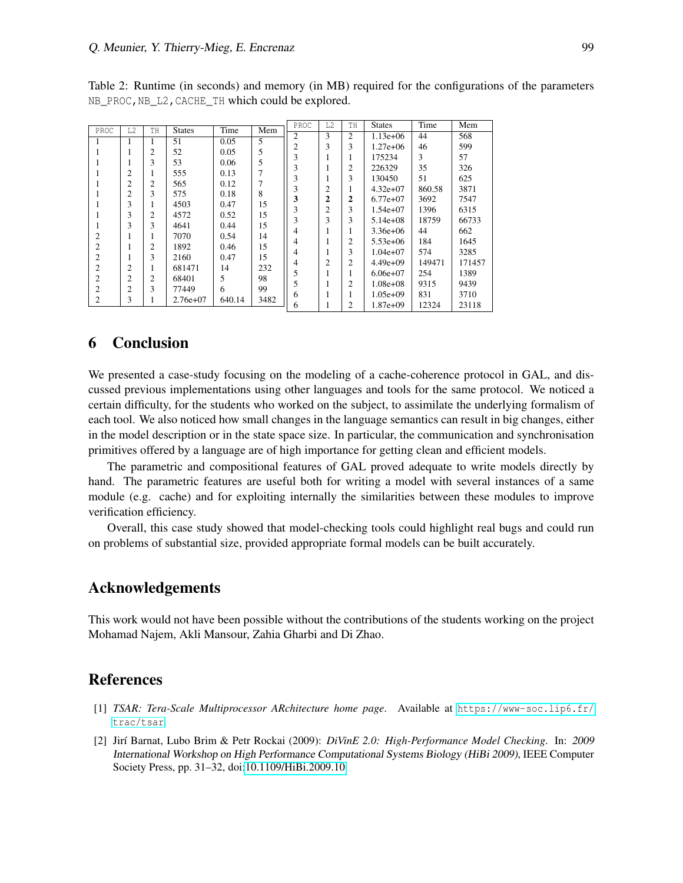| PROC           | L2             | TH                  | <b>States</b> | Time   | Mem  | PROC           | L2             | TH             | <b>States</b> | Time   | Mem    |
|----------------|----------------|---------------------|---------------|--------|------|----------------|----------------|----------------|---------------|--------|--------|
|                |                |                     |               |        |      | $\overline{c}$ | 3              | 2              | $1.13e+06$    | 44     | 568    |
| 1              |                | н.                  | 51            | 0.05   | 5    | 2              | 3              | 3              | $1.27e+06$    | 46     | 599    |
| 1              |                | $\overline{2}$      | 52            | 0.05   | 5    | 3              |                |                | 175234        | 3      | 57     |
|                |                | 3                   | 53            | 0.06   | 5    | 3              |                | 2              | 226329        | 35     | 326    |
|                | 2              | 1                   | 555           | 0.13   | 7    |                |                | 3              |               |        |        |
|                | 2              | $\overline{c}$      | 565           | 0.12   | 7    | 3              |                |                | 130450        | 51     | 625    |
|                | 2              | 3                   | 575           | 0.18   | 8    |                | $\overline{c}$ |                | $4.32e+07$    | 860.58 | 3871   |
|                | 3              |                     | 4503          | 0.47   | 15   | 3              | 2              | 2              | $6.77e+07$    | 3692   | 7547   |
|                | 3              | ı<br>$\overline{2}$ | 4572          | 0.52   | 15   | 3              | 2              | 3              | $1.54e+07$    | 1396   | 6315   |
|                |                |                     |               |        |      | 3              | 3              | 3              | $5.14e+08$    | 18759  | 66733  |
| J.             | 3              | 3                   | 4641          | 0.44   | 15   | 4              |                |                | $3.36e + 06$  | 44     | 662    |
| $\overline{2}$ | 1              | 1                   | 7070          | 0.54   | 14   | 4              |                | 2              | $5.53e+06$    | 184    | 1645   |
| $\overline{c}$ | 1              | $\overline{2}$      | 1892          | 0.46   | 15   | 4              |                | 3              | $1.04e+07$    | 574    | 3285   |
| $\overline{2}$ | 1              | 3                   | 2160          | 0.47   | 15   |                | $\overline{c}$ | 2              | $4.49e+09$    | 149471 | 171457 |
| $\overline{c}$ | $\overline{c}$ | 1                   | 681471        | 14     | 232  | 4              |                |                |               |        |        |
| 2              | $\overline{2}$ | $\overline{2}$      | 68401         | 5      | 98   |                |                |                | $6.06e+07$    | 254    | 1389   |
| $\overline{2}$ | 2              | 3                   | 77449         | 6      | 99   |                |                | 2              | $1.08e + 08$  | 9315   | 9439   |
| 2              | 3              |                     | $2.76e+07$    | 640.14 | 3482 | 6              |                |                | $1.05e+09$    | 831    | 3710   |
|                |                | ı                   |               |        |      | 6              |                | $\overline{c}$ | $1.87e+09$    | 12324  | 23118  |

<span id="page-11-2"></span>Table 2: Runtime (in seconds) and memory (in MB) required for the configurations of the parameters NB\_PROC,NB\_L2,CACHE\_TH which could be explored.

#### 6 Conclusion

We presented a case-study focusing on the modeling of a cache-coherence protocol in GAL, and discussed previous implementations using other languages and tools for the same protocol. We noticed a certain difficulty, for the students who worked on the subject, to assimilate the underlying formalism of each tool. We also noticed how small changes in the language semantics can result in big changes, either in the model description or in the state space size. In particular, the communication and synchronisation primitives offered by a language are of high importance for getting clean and efficient models.

The parametric and compositional features of GAL proved adequate to write models directly by hand. The parametric features are useful both for writing a model with several instances of a same module (e.g. cache) and for exploiting internally the similarities between these modules to improve verification efficiency.

Overall, this case study showed that model-checking tools could highlight real bugs and could run on problems of substantial size, provided appropriate formal models can be built accurately.

#### Acknowledgements

This work would not have been possible without the contributions of the students working on the project Mohamad Najem, Akli Mansour, Zahia Gharbi and Di Zhao.

#### References

- <span id="page-11-0"></span>[1] *TSAR: Tera-Scale Multiprocessor ARchitecture home page*. Available at [https://www-soc.lip6.fr/](https://www-soc.lip6.fr/trac/tsar) [trac/tsar](https://www-soc.lip6.fr/trac/tsar).
- <span id="page-11-1"></span>[2] Jir´ı Barnat, Lubo Brim & Petr Rockai (2009): *DiVinE 2.0: High-Performance Model Checking*. In: 2009 International Workshop on High Performance Computational Systems Biology (HiBi 2009), IEEE Computer Society Press, pp. 31–32, doi[:10.1109/HiBi.2009.10.](http://dx.doi.org/10.1109/HiBi.2009.10)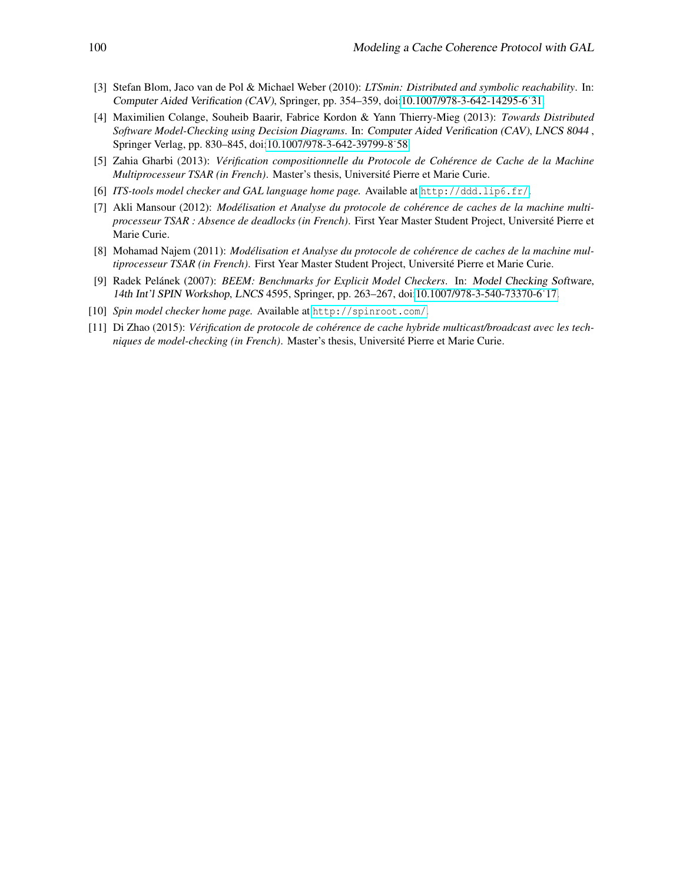- <span id="page-12-5"></span>[3] Stefan Blom, Jaco van de Pol & Michael Weber (2010): *LTSmin: Distributed and symbolic reachability*. In: Computer Aided Verification (CAV), Springer, pp. 354–359, doi[:10.1007/978-3-642-14295-6˙31.](http://dx.doi.org/10.1007/978-3-642-14295-6_31)
- <span id="page-12-6"></span>[4] Maximilien Colange, Souheib Baarir, Fabrice Kordon & Yann Thierry-Mieg (2013): *Towards Distributed Software Model-Checking using Decision Diagrams*. In: Computer Aided Verification (CAV), LNCS 8044 , Springer Verlag, pp. 830–845, doi[:10.1007/978-3-642-39799-8˙58.](http://dx.doi.org/10.1007/978-3-642-39799-8_58)
- <span id="page-12-3"></span>[5] Zahia Gharbi (2013): *Verification compositionnelle du Protocole de Coh ´ erence de Cache de la Machine ´ Multiprocesseur TSAR (in French)*. Master's thesis, Université Pierre et Marie Curie.
- <span id="page-12-7"></span>[6] *ITS-tools model checker and GAL language home page.* Available at <http://ddd.lip6.fr/>.
- <span id="page-12-2"></span>[7] Akli Mansour (2012): *Modelisation et Analyse du protocole de coh ´ erence de caches de la machine multi- ´ processeur TSAR : Absence de deadlocks (in French)*. First Year Master Student Project, Universite Pierre et ´ Marie Curie.
- <span id="page-12-1"></span>[8] Mohamad Najem (2011): *Modelisation et Analyse du protocole de coh ´ erence de caches de la machine mul- ´ tiprocesseur TSAR (in French)*. First Year Master Student Project, Universite Pierre et Marie Curie. ´
- <span id="page-12-4"></span>[9] Radek Pelánek (2007): *BEEM: Benchmarks for Explicit Model Checkers*. In: Model Checking Software, 14th Int'l SPIN Workshop, LNCS 4595, Springer, pp. 263–267, doi[:10.1007/978-3-540-73370-6˙17.](http://dx.doi.org/10.1007/978-3-540-73370-6_17)
- <span id="page-12-0"></span>[10] *Spin model checker home page.* Available at <http://spinroot.com/>.
- <span id="page-12-8"></span>[11] Di Zhao (2015): *Verification de protocole de coh ´ erence de cache hybride multicast/broadcast avec les tech- ´ niques de model-checking (in French)*. Master's thesis, Universite Pierre et Marie Curie. ´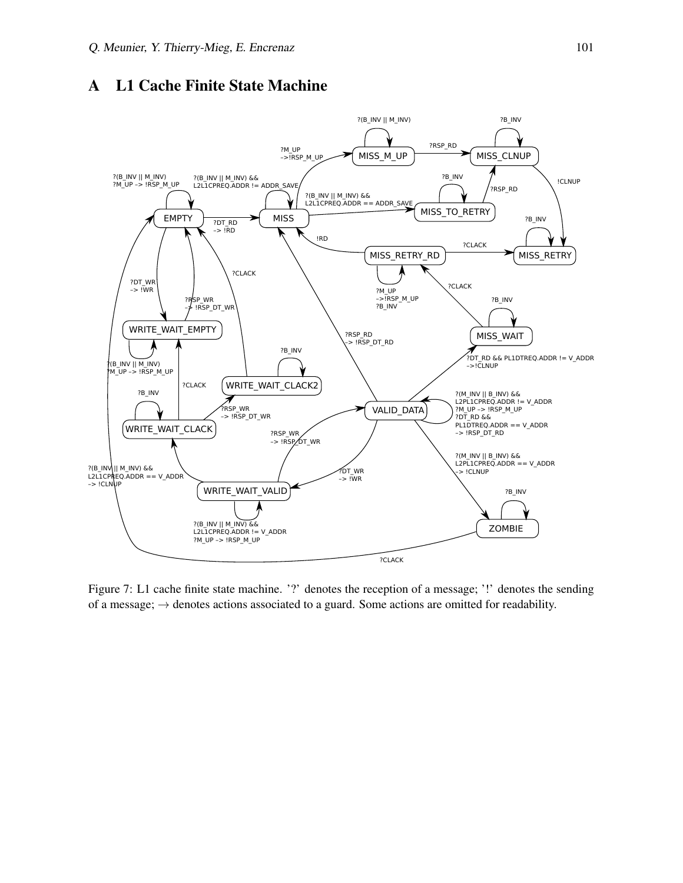#### <span id="page-13-0"></span>A L1 Cache Finite State Machine



Figure 7: L1 cache finite state machine. '?' denotes the reception of a message; '!' denotes the sending of a message;  $\rightarrow$  denotes actions associated to a guard. Some actions are omitted for readability.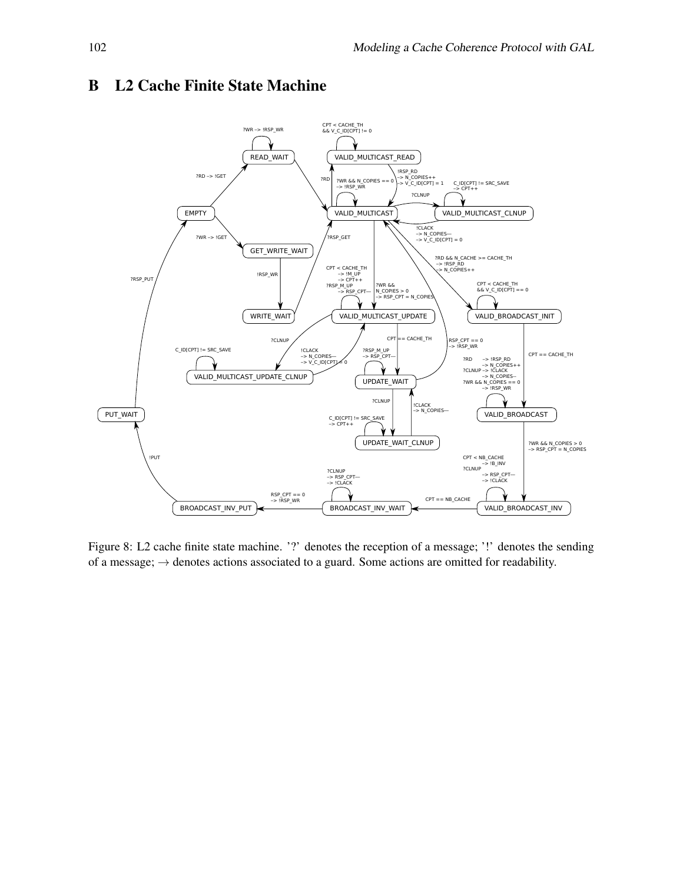

## <span id="page-14-0"></span>B L2 Cache Finite State Machine

Figure 8: L2 cache finite state machine. '?' denotes the reception of a message; '!' denotes the sending of a message;  $\rightarrow$  denotes actions associated to a guard. Some actions are omitted for readability.